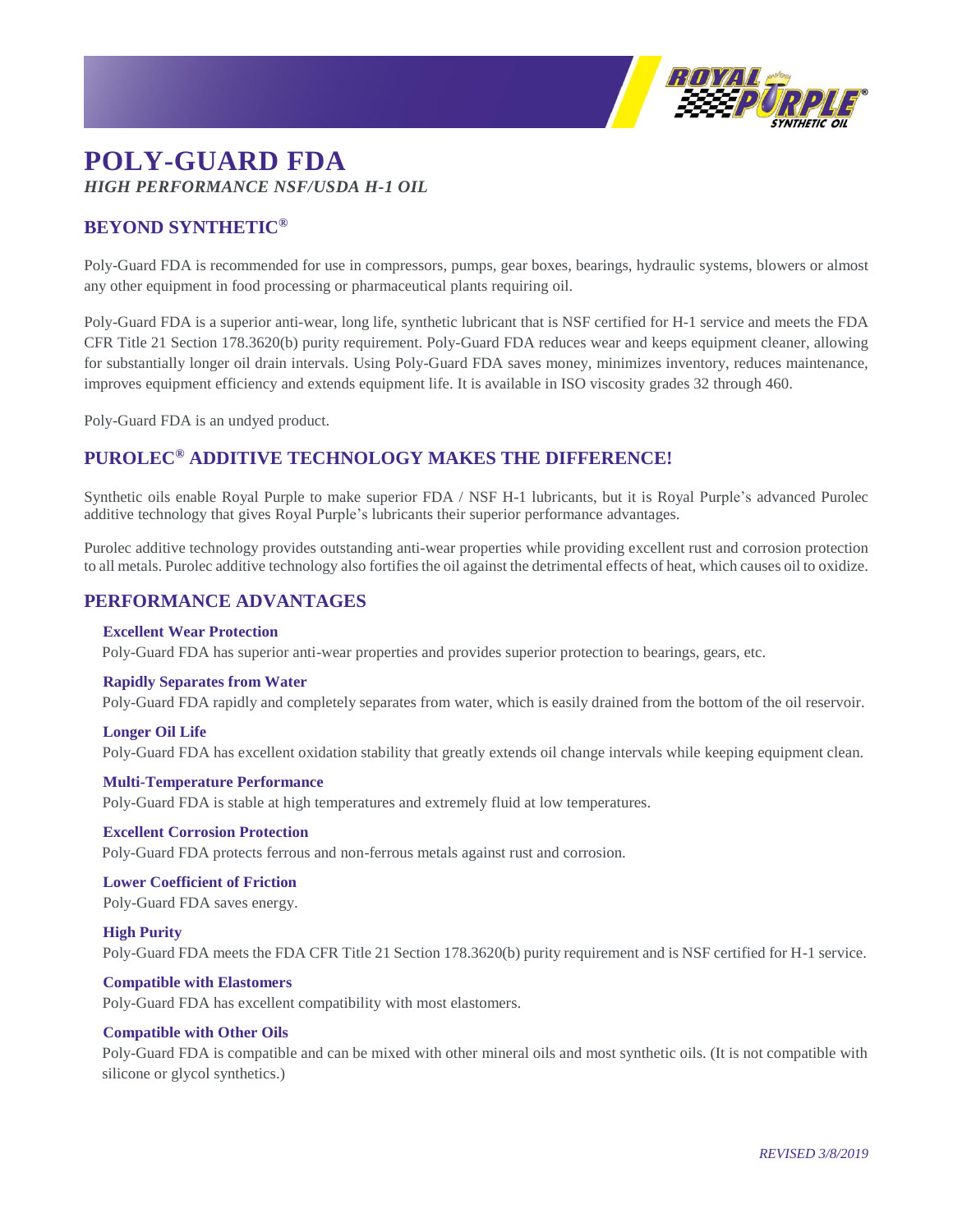

# **POLY-GUARD FDA** *HIGH PERFORMANCE NSF/USDA H-1 OIL*

# **BEYOND SYNTHETIC®**

Poly-Guard FDA is recommended for use in compressors, pumps, gear boxes, bearings, hydraulic systems, blowers or almost any other equipment in food processing or pharmaceutical plants requiring oil.

Poly-Guard FDA is a superior anti-wear, long life, synthetic lubricant that is NSF certified for H-1 service and meets the FDA CFR Title 21 Section 178.3620(b) purity requirement. Poly-Guard FDA reduces wear and keeps equipment cleaner, allowing for substantially longer oil drain intervals. Using Poly-Guard FDA saves money, minimizes inventory, reduces maintenance, improves equipment efficiency and extends equipment life. It is available in ISO viscosity grades 32 through 460.

Poly-Guard FDA is an undyed product.

# **PUROLEC® ADDITIVE TECHNOLOGY MAKES THE DIFFERENCE!**

Synthetic oils enable Royal Purple to make superior FDA / NSF H-1 lubricants, but it is Royal Purple's advanced Purolec additive technology that gives Royal Purple's lubricants their superior performance advantages.

Purolec additive technology provides outstanding anti-wear properties while providing excellent rust and corrosion protection to all metals. Purolec additive technology also fortifies the oil against the detrimental effects of heat, which causes oil to oxidize.

# **PERFORMANCE ADVANTAGES**

## **Excellent Wear Protection**

Poly-Guard FDA has superior anti-wear properties and provides superior protection to bearings, gears, etc.

#### **Rapidly Separates from Water**

Poly-Guard FDA rapidly and completely separates from water, which is easily drained from the bottom of the oil reservoir.

## **Longer Oil Life**

Poly-Guard FDA has excellent oxidation stability that greatly extends oil change intervals while keeping equipment clean.

#### **Multi-Temperature Performance**

Poly-Guard FDA is stable at high temperatures and extremely fluid at low temperatures.

# **Excellent Corrosion Protection**

Poly-Guard FDA protects ferrous and non-ferrous metals against rust and corrosion.

# **Lower Coefficient of Friction**

Poly-Guard FDA saves energy.

## **High Purity**

Poly-Guard FDA meets the FDA CFR Title 21 Section 178.3620(b) purity requirement and is NSF certified for H-1 service.

## **Compatible with Elastomers**

Poly-Guard FDA has excellent compatibility with most elastomers.

## **Compatible with Other Oils**

Poly-Guard FDA is compatible and can be mixed with other mineral oils and most synthetic oils. (It is not compatible with silicone or glycol synthetics.)